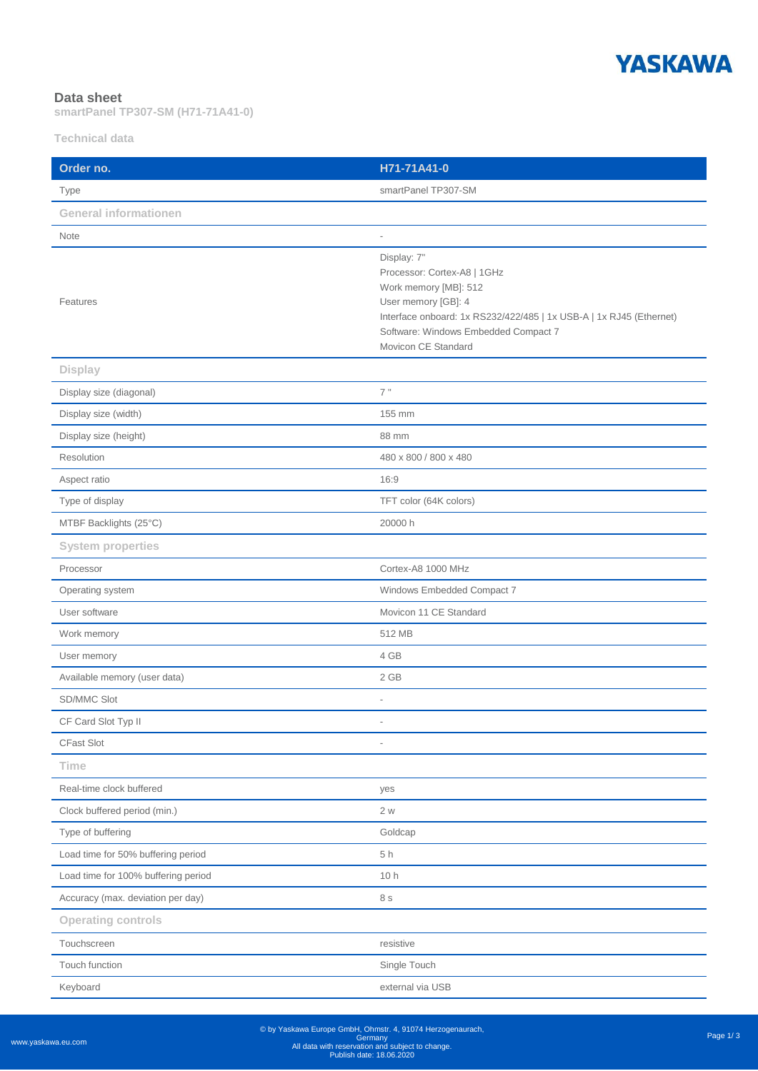

## **Data sheet**

**smartPanel TP307-SM (H71-71A41-0)**

**Technical data**

| Order no.                           | H71-71A41-0                                                                                                                                                                                                                      |
|-------------------------------------|----------------------------------------------------------------------------------------------------------------------------------------------------------------------------------------------------------------------------------|
| Type                                | smartPanel TP307-SM                                                                                                                                                                                                              |
| <b>General informationen</b>        |                                                                                                                                                                                                                                  |
| Note                                | $\overline{a}$                                                                                                                                                                                                                   |
| Features                            | Display: 7"<br>Processor: Cortex-A8   1GHz<br>Work memory [MB]: 512<br>User memory [GB]: 4<br>Interface onboard: 1x RS232/422/485   1x USB-A   1x RJ45 (Ethernet)<br>Software: Windows Embedded Compact 7<br>Movicon CE Standard |
| <b>Display</b>                      |                                                                                                                                                                                                                                  |
| Display size (diagonal)             | 7"                                                                                                                                                                                                                               |
| Display size (width)                | 155 mm                                                                                                                                                                                                                           |
| Display size (height)               | 88 mm                                                                                                                                                                                                                            |
| Resolution                          | 480 x 800 / 800 x 480                                                                                                                                                                                                            |
| Aspect ratio                        | 16:9                                                                                                                                                                                                                             |
| Type of display                     | TFT color (64K colors)                                                                                                                                                                                                           |
| MTBF Backlights (25°C)              | 20000 h                                                                                                                                                                                                                          |
| <b>System properties</b>            |                                                                                                                                                                                                                                  |
| Processor                           | Cortex-A8 1000 MHz                                                                                                                                                                                                               |
| Operating system                    | Windows Embedded Compact 7                                                                                                                                                                                                       |
| User software                       | Movicon 11 CE Standard                                                                                                                                                                                                           |
| Work memory                         | 512 MB                                                                                                                                                                                                                           |
| User memory                         | 4 GB                                                                                                                                                                                                                             |
| Available memory (user data)        | 2 GB                                                                                                                                                                                                                             |
| SD/MMC Slot                         |                                                                                                                                                                                                                                  |
| CF Card Slot Typ II                 | $\overline{\phantom{a}}$                                                                                                                                                                                                         |
| CFast Slot                          | i.                                                                                                                                                                                                                               |
| <b>Time</b>                         |                                                                                                                                                                                                                                  |
| Real-time clock buffered            | yes                                                                                                                                                                                                                              |
| Clock buffered period (min.)        | 2 w                                                                                                                                                                                                                              |
| Type of buffering                   | Goldcap                                                                                                                                                                                                                          |
| Load time for 50% buffering period  | 5h                                                                                                                                                                                                                               |
| Load time for 100% buffering period | 10 h                                                                                                                                                                                                                             |
| Accuracy (max. deviation per day)   | 8 s                                                                                                                                                                                                                              |
| <b>Operating controls</b>           |                                                                                                                                                                                                                                  |
| Touchscreen                         | resistive                                                                                                                                                                                                                        |
| Touch function                      | Single Touch                                                                                                                                                                                                                     |
| Keyboard                            | external via USB                                                                                                                                                                                                                 |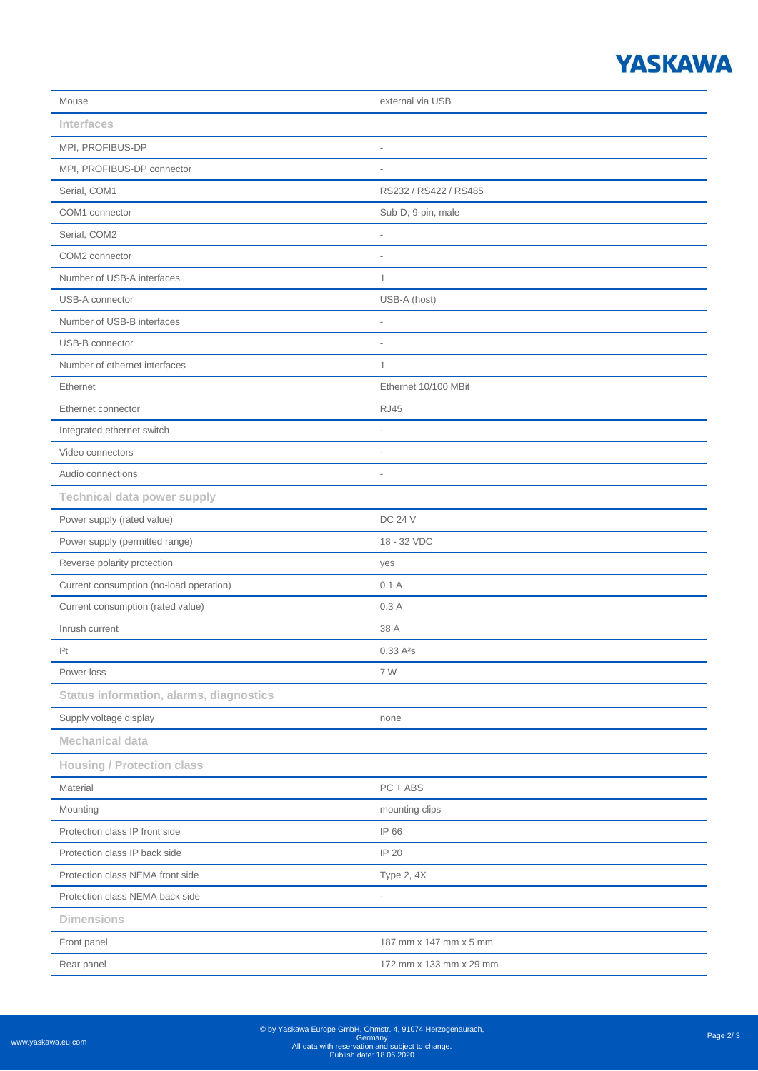## **YASKAWA**

| Mouse                                          | external via USB         |
|------------------------------------------------|--------------------------|
| <b>Interfaces</b>                              |                          |
| MPI, PROFIBUS-DP                               | $\overline{a}$           |
| MPI, PROFIBUS-DP connector                     | $\overline{\phantom{a}}$ |
| Serial, COM1                                   | RS232 / RS422 / RS485    |
| COM1 connector                                 | Sub-D, 9-pin, male       |
| Serial, COM2                                   | i.                       |
| COM2 connector                                 |                          |
| Number of USB-A interfaces                     | $\mathbf{1}$             |
| USB-A connector                                | USB-A (host)             |
| Number of USB-B interfaces                     | $\overline{a}$           |
| USB-B connector                                | $\overline{\phantom{a}}$ |
| Number of ethernet interfaces                  | $\mathbf{1}$             |
| Ethernet                                       | Ethernet 10/100 MBit     |
| Ethernet connector                             | <b>RJ45</b>              |
| Integrated ethernet switch                     | i.                       |
| Video connectors                               | $\overline{a}$           |
| Audio connections                              | $\overline{a}$           |
| <b>Technical data power supply</b>             |                          |
| Power supply (rated value)                     | <b>DC 24 V</b>           |
| Power supply (permitted range)                 | 18 - 32 VDC              |
| Reverse polarity protection                    | yes                      |
| Current consumption (no-load operation)        | 0.1A                     |
| Current consumption (rated value)              | 0.3A                     |
| Inrush current                                 | 38 A                     |
| 2t                                             | 0.33A <sup>2</sup> s     |
| Power loss                                     | 7 W                      |
| <b>Status information, alarms, diagnostics</b> |                          |
| Supply voltage display                         | none                     |
| <b>Mechanical data</b>                         |                          |
| <b>Housing / Protection class</b>              |                          |
| Material                                       | $PC + ABS$               |
| Mounting                                       | mounting clips           |
| Protection class IP front side                 | IP 66                    |
| Protection class IP back side                  | IP 20                    |
| Protection class NEMA front side               | Type 2, 4X               |
| Protection class NEMA back side                | $\overline{a}$           |
| <b>Dimensions</b>                              |                          |
| Front panel                                    | 187 mm x 147 mm x 5 mm   |
| Rear panel                                     | 172 mm x 133 mm x 29 mm  |
|                                                |                          |